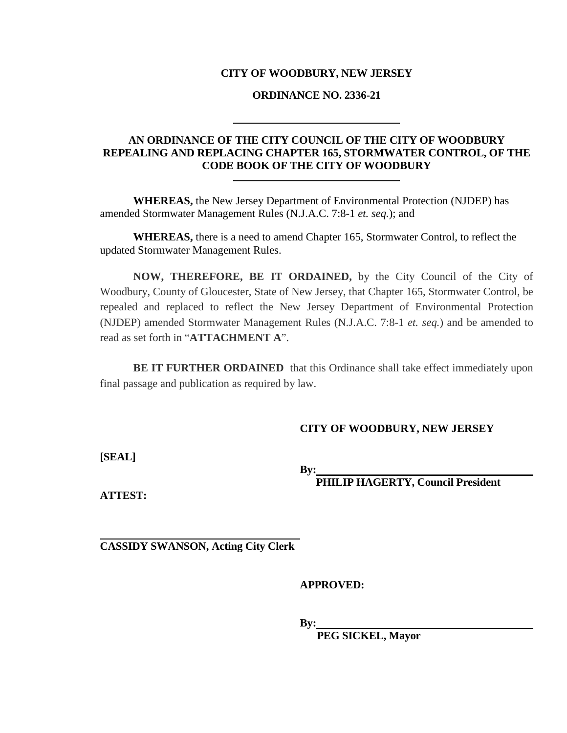### **CITY OF WOODBURY, NEW JERSEY**

### **ORDINANCE NO. 2336-21**

# **AN ORDINANCE OF THE CITY COUNCIL OF THE CITY OF WOODBURY REPEALING AND REPLACING CHAPTER 165, STORMWATER CONTROL, OF THE CODE BOOK OF THE CITY OF WOODBURY**

**WHEREAS,** the New Jersey Department of Environmental Protection (NJDEP) has amended Stormwater Management Rules (N.J.A.C. 7:8-1 *et. seq.*); and

**WHEREAS,** there is a need to amend Chapter 165, Stormwater Control, to reflect the updated Stormwater Management Rules.

**NOW, THEREFORE, BE IT ORDAINED,** by the City Council of the City of Woodbury, County of Gloucester, State of New Jersey, that Chapter 165, Stormwater Control, be repealed and replaced to reflect the New Jersey Department of Environmental Protection (NJDEP) amended Stormwater Management Rules (N.J.A.C. 7:8-1 *et. seq.*) and be amended to read as set forth in "**ATTACHMENT A**".

**BE IT FURTHER ORDAINED** that this Ordinance shall take effect immediately upon final passage and publication as required by law.

### **CITY OF WOODBURY, NEW JERSEY**

**[SEAL]**

**By:**

 **PHILIP HAGERTY, Council President**

**ATTEST:**

**CASSIDY SWANSON, Acting City Clerk**

**APPROVED:** 

**By:**

 **PEG SICKEL, Mayor**